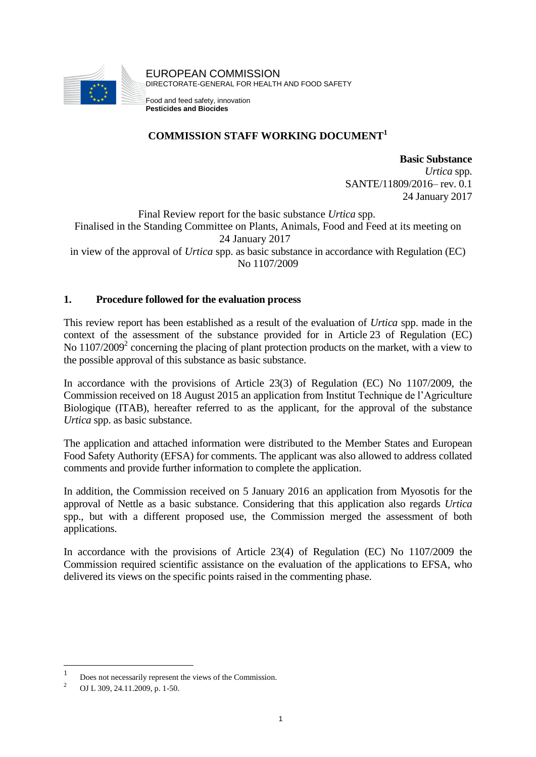

### **COMMISSION STAFF WORKING DOCUMENT<sup>1</sup>**

**Basic Substance** *Urtica* spp. SANTE/11809/2016– rev. 0.1 24 January 2017

Final Review report for the basic substance *Urtica* spp. Finalised in the Standing Committee on Plants, Animals, Food and Feed at its meeting on 24 January 2017 in view of the approval of *Urtica* spp. as basic substance in accordance with Regulation (EC) No 1107/2009

### **1. Procedure followed for the evaluation process**

This review report has been established as a result of the evaluation of *Urtica* spp. made in the context of the assessment of the substance provided for in Article 23 of Regulation (EC) No 1107/2009<sup>2</sup> concerning the placing of plant protection products on the market, with a view to the possible approval of this substance as basic substance.

In accordance with the provisions of Article 23(3) of Regulation (EC) No 1107/2009, the Commission received on 18 August 2015 an application from Institut Technique de l'Agriculture Biologique (ITAB), hereafter referred to as the applicant, for the approval of the substance *Urtica* spp. as basic substance.

The application and attached information were distributed to the Member States and European Food Safety Authority (EFSA) for comments. The applicant was also allowed to address collated comments and provide further information to complete the application.

In addition, the Commission received on 5 January 2016 an application from Myosotis for the approval of Nettle as a basic substance. Considering that this application also regards *Urtica* spp., but with a different proposed use, the Commission merged the assessment of both applications.

In accordance with the provisions of Article 23(4) of Regulation (EC) No 1107/2009 the Commission required scientific assistance on the evaluation of the applications to EFSA, who delivered its views on the specific points raised in the commenting phase.

<u>.</u>

<sup>1</sup> Does not necessarily represent the views of the Commission.

<sup>&</sup>lt;sup>2</sup> OJ L 309, 24.11.2009, p. 1-50.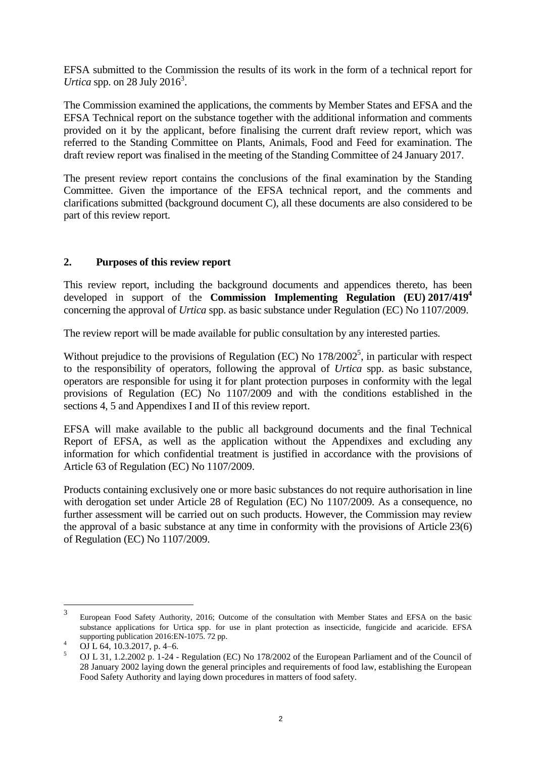EFSA submitted to the Commission the results of its work in the form of a technical report for *Urtica* spp. on 28 July 2016<sup>3</sup>.

The Commission examined the applications, the comments by Member States and EFSA and the EFSA Technical report on the substance together with the additional information and comments provided on it by the applicant, before finalising the current draft review report, which was referred to the Standing Committee on Plants, Animals, Food and Feed for examination. The draft review report was finalised in the meeting of the Standing Committee of 24 January 2017.

The present review report contains the conclusions of the final examination by the Standing Committee. Given the importance of the EFSA technical report, and the comments and clarifications submitted (background document C), all these documents are also considered to be part of this review report.

### **2. Purposes of this review report**

This review report, including the background documents and appendices thereto, has been developed in support of the **Commission Implementing Regulation (EU) 2017/419<sup>4</sup>** concerning the approval of *Urtica* spp. as basic substance under Regulation (EC) No 1107/2009.

The review report will be made available for public consultation by any interested parties.

Without prejudice to the provisions of Regulation (EC) No  $178/2002^5$ , in particular with respect to the responsibility of operators, following the approval of *Urtica* spp. as basic substance, operators are responsible for using it for plant protection purposes in conformity with the legal provisions of Regulation (EC) No 1107/2009 and with the conditions established in the sections 4, 5 and Appendixes I and II of this review report.

EFSA will make available to the public all background documents and the final Technical Report of EFSA, as well as the application without the Appendixes and excluding any information for which confidential treatment is justified in accordance with the provisions of Article 63 of Regulation (EC) No 1107/2009.

Products containing exclusively one or more basic substances do not require authorisation in line with derogation set under Article 28 of Regulation (EC) No 1107/2009. As a consequence, no further assessment will be carried out on such products. However, the Commission may review the approval of a basic substance at any time in conformity with the provisions of Article 23(6) of Regulation (EC) No 1107/2009.

 $\frac{1}{3}$ European Food Safety Authority, 2016; Outcome of the consultation with Member States and EFSA on the basic substance applications for Urtica spp. for use in plant protection as insecticide, fungicide and acaricide. EFSA supporting publication 2016:EN-1075. 72 pp.

 $^{4}$  OJ L 64, 10.3.2017, p. 4–6.

<sup>5</sup> OJ L 31, 1.2.2002 p. 1-24 - Regulation (EC) No 178/2002 of the European Parliament and of the Council of 28 January 2002 laying down the general principles and requirements of food law, establishing the European Food Safety Authority and laying down procedures in matters of food safety.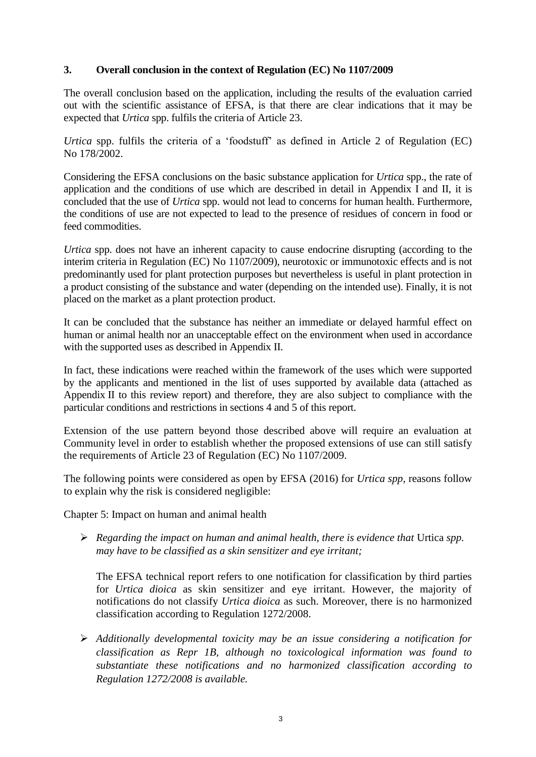### **3. Overall conclusion in the context of Regulation (EC) No 1107/2009**

The overall conclusion based on the application, including the results of the evaluation carried out with the scientific assistance of EFSA, is that there are clear indications that it may be expected that *Urtica* spp. fulfils the criteria of Article 23.

*Urtica* spp. fulfils the criteria of a 'foodstuff' as defined in Article 2 of Regulation (EC) No 178/2002.

Considering the EFSA conclusions on the basic substance application for *Urtica* spp., the rate of application and the conditions of use which are described in detail in Appendix I and II, it is concluded that the use of *Urtica* spp. would not lead to concerns for human health. Furthermore, the conditions of use are not expected to lead to the presence of residues of concern in food or feed commodities.

*Urtica* spp. does not have an inherent capacity to cause endocrine disrupting (according to the interim criteria in Regulation (EC) No 1107/2009), neurotoxic or immunotoxic effects and is not predominantly used for plant protection purposes but nevertheless is useful in plant protection in a product consisting of the substance and water (depending on the intended use). Finally, it is not placed on the market as a plant protection product.

It can be concluded that the substance has neither an immediate or delayed harmful effect on human or animal health nor an unacceptable effect on the environment when used in accordance with the supported uses as described in Appendix II.

In fact, these indications were reached within the framework of the uses which were supported by the applicants and mentioned in the list of uses supported by available data (attached as Appendix II to this review report) and therefore, they are also subject to compliance with the particular conditions and restrictions in sections 4 and 5 of this report.

Extension of the use pattern beyond those described above will require an evaluation at Community level in order to establish whether the proposed extensions of use can still satisfy the requirements of Article 23 of Regulation (EC) No 1107/2009.

The following points were considered as open by EFSA (2016) for *Urtica spp*, reasons follow to explain why the risk is considered negligible:

Chapter 5: Impact on human and animal health

 *Regarding the impact on human and animal health, there is evidence that* Urtica *spp. may have to be classified as a skin sensitizer and eye irritant;* 

The EFSA technical report refers to one notification for classification by third parties for *Urtica dioica* as skin sensitizer and eye irritant. However, the majority of notifications do not classify *Urtica dioica* as such. Moreover, there is no harmonized classification according to Regulation 1272/2008.

 *Additionally developmental toxicity may be an issue considering a notification for classification as Repr 1B, although no toxicological information was found to substantiate these notifications and no harmonized classification according to Regulation 1272/2008 is available.*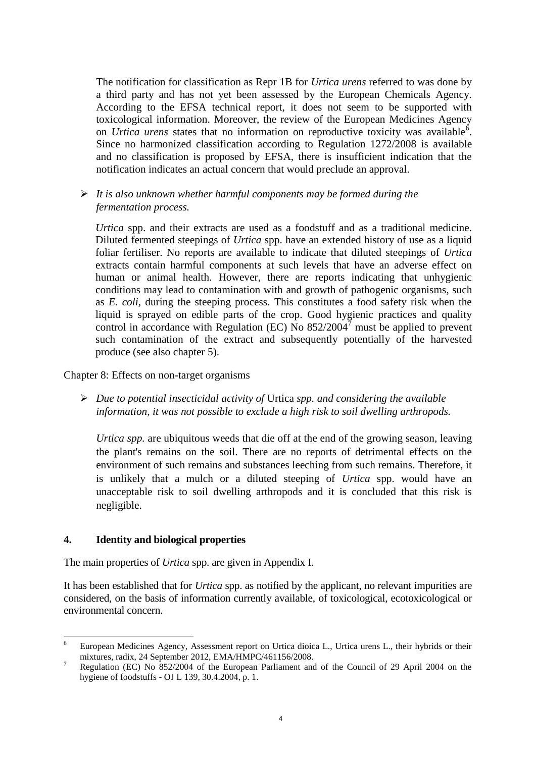The notification for classification as Repr 1B for *Urtica urens* referred to was done by a third party and has not yet been assessed by the European Chemicals Agency. According to the EFSA technical report, it does not seem to be supported with toxicological information. Moreover, the review of the European Medicines Agency on *Urtica urens* states that no information on reproductive toxicity was available<sup>6</sup>. Since no harmonized classification according to Regulation 1272/2008 is available and no classification is proposed by EFSA, there is insufficient indication that the notification indicates an actual concern that would preclude an approval.

 *It is also unknown whether harmful components may be formed during the fermentation process.*

*Urtica* spp. and their extracts are used as a foodstuff and as a traditional medicine. Diluted fermented steepings of *Urtica* spp. have an extended history of use as a liquid foliar fertiliser. No reports are available to indicate that diluted steepings of *Urtica* extracts contain harmful components at such levels that have an adverse effect on human or animal health. However, there are reports indicating that unhygienic conditions may lead to contamination with and growth of pathogenic organisms, such as *E. coli,* during the steeping process. This constitutes a food safety risk when the liquid is sprayed on edible parts of the crop. Good hygienic practices and quality control in accordance with Regulation (EC) No  $852/2004^7$  must be applied to prevent such contamination of the extract and subsequently potentially of the harvested produce (see also chapter 5).

Chapter 8: Effects on non-target organisms

 *Due to potential insecticidal activity of* Urtica *spp. and considering the available information, it was not possible to exclude a high risk to soil dwelling arthropods.*

*Urtica spp.* are ubiquitous weeds that die off at the end of the growing season, leaving the plant's remains on the soil. There are no reports of detrimental effects on the environment of such remains and substances leeching from such remains. Therefore, it is unlikely that a mulch or a diluted steeping of *Urtica* spp. would have an unacceptable risk to soil dwelling arthropods and it is concluded that this risk is negligible.

#### **4. Identity and biological properties**

<u>.</u>

The main properties of *Urtica* spp. are given in Appendix I.

It has been established that for *Urtica* spp. as notified by the applicant, no relevant impurities are considered, on the basis of information currently available, of toxicological, ecotoxicological or environmental concern.

<sup>6</sup> European Medicines Agency, Assessment report on Urtica dioica L., Urtica urens L., their hybrids or their mixtures, radix, 24 September 2012, EMA/HMPC/461156/2008.

<sup>7</sup> Regulation (EC) No 852/2004 of the European Parliament and of the Council of 29 April 2004 on the hygiene of foodstuffs - OJ L 139, 30.4.2004, p. 1.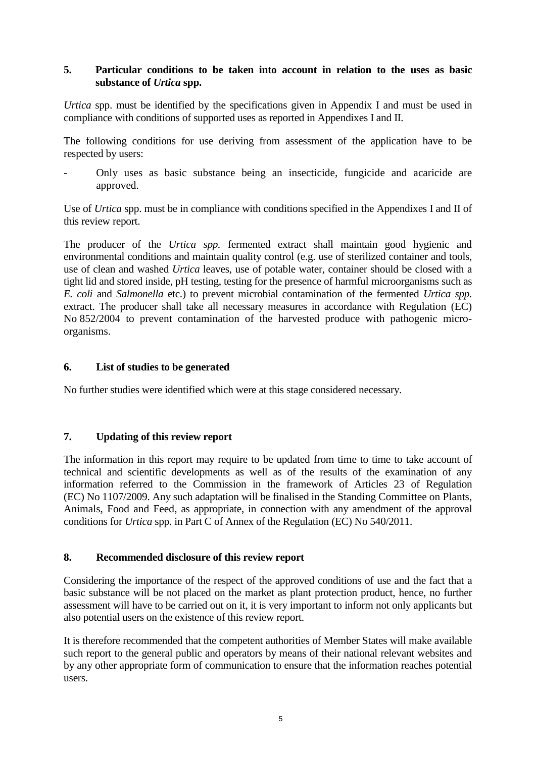### **5. Particular conditions to be taken into account in relation to the uses as basic substance of** *Urtica* **spp.**

*Urtica* spp. must be identified by the specifications given in Appendix I and must be used in compliance with conditions of supported uses as reported in Appendixes I and II.

The following conditions for use deriving from assessment of the application have to be respected by users:

- Only uses as basic substance being an insecticide, fungicide and acaricide are approved.

Use of *Urtica* spp. must be in compliance with conditions specified in the Appendixes I and II of this review report.

The producer of the *Urtica spp.* fermented extract shall maintain good hygienic and environmental conditions and maintain quality control (e.g. use of sterilized container and tools, use of clean and washed *Urtica* leaves, use of potable water, container should be closed with a tight lid and stored inside, pH testing, testing for the presence of harmful microorganisms such as *E. coli* and *Salmonella* etc.) to prevent microbial contamination of the fermented *Urtica spp.*  extract. The producer shall take all necessary measures in accordance with Regulation (EC) No 852/2004 to prevent contamination of the harvested produce with pathogenic microorganisms.

### **6. List of studies to be generated**

No further studies were identified which were at this stage considered necessary.

### **7. Updating of this review report**

The information in this report may require to be updated from time to time to take account of technical and scientific developments as well as of the results of the examination of any information referred to the Commission in the framework of Articles 23 of Regulation (EC) No 1107/2009. Any such adaptation will be finalised in the Standing Committee on Plants, Animals, Food and Feed, as appropriate, in connection with any amendment of the approval conditions for *Urtica* spp. in Part C of Annex of the Regulation (EC) No 540/2011.

### **8. Recommended disclosure of this review report**

Considering the importance of the respect of the approved conditions of use and the fact that a basic substance will be not placed on the market as plant protection product, hence, no further assessment will have to be carried out on it, it is very important to inform not only applicants but also potential users on the existence of this review report.

It is therefore recommended that the competent authorities of Member States will make available such report to the general public and operators by means of their national relevant websites and by any other appropriate form of communication to ensure that the information reaches potential users.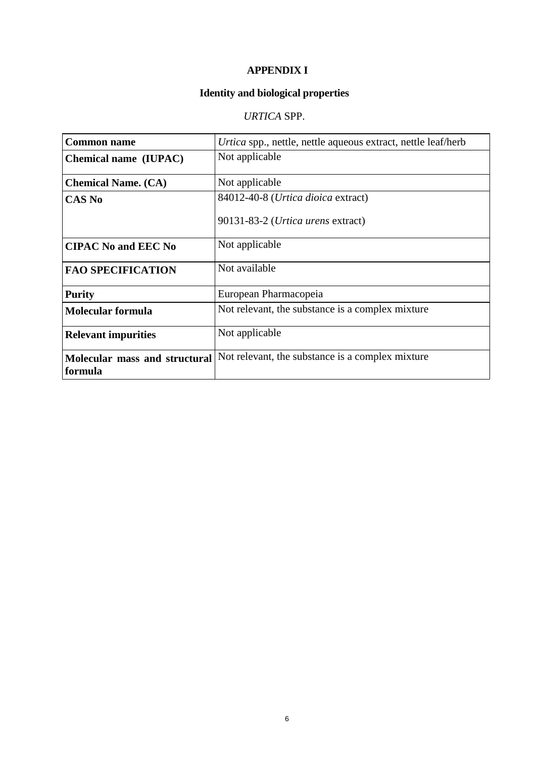### **APPENDIX I**

# **Identity and biological properties**

# *URTICA* SPP.

| <b>Common name</b>                       | Urtica spp., nettle, nettle aqueous extract, nettle leaf/herb |
|------------------------------------------|---------------------------------------------------------------|
| <b>Chemical name (IUPAC)</b>             | Not applicable                                                |
| <b>Chemical Name. (CA)</b>               | Not applicable                                                |
| <b>CAS No</b>                            | 84012-40-8 (Urtica dioica extract)                            |
|                                          | 90131-83-2 (Urtica urens extract)                             |
| <b>CIPAC No and EEC No</b>               | Not applicable                                                |
| <b>FAO SPECIFICATION</b>                 | Not available                                                 |
| <b>Purity</b>                            | European Pharmacopeia                                         |
| <b>Molecular formula</b>                 | Not relevant, the substance is a complex mixture.             |
| <b>Relevant impurities</b>               | Not applicable                                                |
| Molecular mass and structural<br>formula | Not relevant, the substance is a complex mixture              |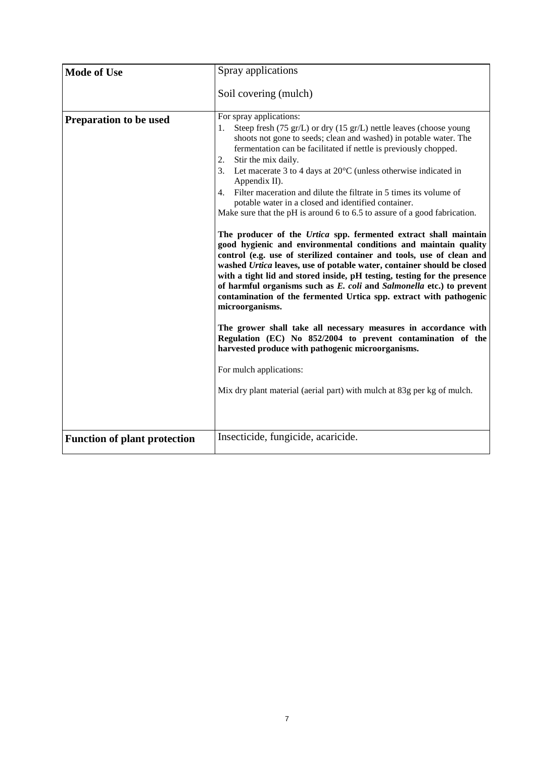| <b>Mode of Use</b>                  | Spray applications                                                                                                                                                                                                                                                                                                                                                                                                                                                                                                                                                                                                                                                                                                                                                                                                                                                                                                                                                                                                                                                                                                                                                                                                                                                                                                                                                                                                |
|-------------------------------------|-------------------------------------------------------------------------------------------------------------------------------------------------------------------------------------------------------------------------------------------------------------------------------------------------------------------------------------------------------------------------------------------------------------------------------------------------------------------------------------------------------------------------------------------------------------------------------------------------------------------------------------------------------------------------------------------------------------------------------------------------------------------------------------------------------------------------------------------------------------------------------------------------------------------------------------------------------------------------------------------------------------------------------------------------------------------------------------------------------------------------------------------------------------------------------------------------------------------------------------------------------------------------------------------------------------------------------------------------------------------------------------------------------------------|
|                                     | Soil covering (mulch)                                                                                                                                                                                                                                                                                                                                                                                                                                                                                                                                                                                                                                                                                                                                                                                                                                                                                                                                                                                                                                                                                                                                                                                                                                                                                                                                                                                             |
| <b>Preparation to be used</b>       | For spray applications:<br>Steep fresh (75 gr/L) or dry (15 gr/L) nettle leaves (choose young<br>1.<br>shoots not gone to seeds; clean and washed) in potable water. The<br>fermentation can be facilitated if nettle is previously chopped.<br>Stir the mix daily.<br>2.<br>3. Let macerate 3 to 4 days at 20°C (unless otherwise indicated in<br>Appendix II).<br>4. Filter maceration and dilute the filtrate in 5 times its volume of<br>potable water in a closed and identified container.<br>Make sure that the pH is around 6 to 6.5 to assure of a good fabrication.<br>The producer of the Urtica spp. fermented extract shall maintain<br>good hygienic and environmental conditions and maintain quality<br>control (e.g. use of sterilized container and tools, use of clean and<br>washed Urtica leaves, use of potable water, container should be closed<br>with a tight lid and stored inside, pH testing, testing for the presence<br>of harmful organisms such as E. coli and Salmonella etc.) to prevent<br>contamination of the fermented Urtica spp. extract with pathogenic<br>microorganisms.<br>The grower shall take all necessary measures in accordance with<br>Regulation (EC) No 852/2004 to prevent contamination of the<br>harvested produce with pathogenic microorganisms.<br>For mulch applications:<br>Mix dry plant material (aerial part) with mulch at 83g per kg of mulch. |
| <b>Function of plant protection</b> | Insecticide, fungicide, acaricide.                                                                                                                                                                                                                                                                                                                                                                                                                                                                                                                                                                                                                                                                                                                                                                                                                                                                                                                                                                                                                                                                                                                                                                                                                                                                                                                                                                                |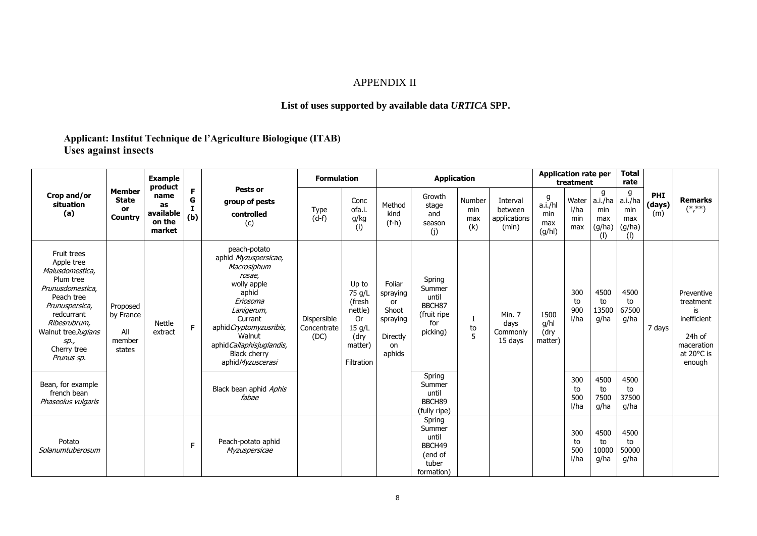### APPENDIX II

### **List of uses supported by available data** *URTICA* **SPP.**

## **Applicant: Institut Technique de l'Agriculture Biologique (ITAB) Uses against insects**

|                                                                                                                                                                                                        |                                                       | <b>Example</b><br>product                   |               | Pests or                                                                                                                                                                                                                                 | <b>Formulation</b>                 |                                                                                       |                                                                           | <b>Application rate per</b><br>treatment                              |                             |                                              | <b>Total</b><br>rate                 |                             |                                             |                                             |                      |                                                                                              |
|--------------------------------------------------------------------------------------------------------------------------------------------------------------------------------------------------------|-------------------------------------------------------|---------------------------------------------|---------------|------------------------------------------------------------------------------------------------------------------------------------------------------------------------------------------------------------------------------------------|------------------------------------|---------------------------------------------------------------------------------------|---------------------------------------------------------------------------|-----------------------------------------------------------------------|-----------------------------|----------------------------------------------|--------------------------------------|-----------------------------|---------------------------------------------|---------------------------------------------|----------------------|----------------------------------------------------------------------------------------------|
| Crop and/or<br>situation<br>(a)                                                                                                                                                                        | Member<br><b>State</b><br><b>or</b><br><b>Country</b> | name<br>as<br>available<br>on the<br>market | F<br>G<br>(b) | group of pests<br>controlled<br>(c)                                                                                                                                                                                                      | <b>Type</b><br>$(d-f)$             | Conc<br>ofa.i.<br>g/kg<br>(i)                                                         | Method<br>kind<br>$(f-h)$                                                 | Growth<br>stage<br>and<br>season<br>(j)                               | Number<br>min<br>max<br>(k) | Interval<br>between<br>applications<br>(min) | g<br>a.i./hl<br>min<br>max<br>(g/hl) | Water<br>I/ha<br>min<br>max | g<br>a.i./ha<br>min<br>max<br>(g/ha)<br>(1) | a<br>a.i./ha<br>min<br>max<br>(g/ha)<br>(1) | PHI<br>(days)<br>(m) | <b>Remarks</b><br>$(*, **)$                                                                  |
| Fruit trees<br>Apple tree<br>Malusdomestica,<br>Plum tree<br>Prunusdomestica,<br>Peach tree<br>Prunuspersica,<br>redcurrant<br>Ribesrubrum,<br>Walnut treeJuglans<br>sp.,<br>Cherry tree<br>Prunus sp. | Proposed<br>by France<br>All<br>member<br>states      | <b>Nettle</b><br>extract                    | F.            | peach-potato<br>aphid Myzuspersicae,<br>Macrosiphum<br>rosae,<br>wolly apple<br>aphid<br>Eriosoma<br>Lanigerum,<br>Currant<br>aphid Cryptomyzusribis,<br>Walnut<br>aphid Callaphisjuglandis,<br><b>Black cherry</b><br>aphid Myzuscerasi | Dispersible<br>Concentrate<br>(DC) | Up to<br>75 g/L<br>(fresh<br>nettle)<br>0r<br>15 g/L<br>(dry<br>matter)<br>Filtration | Foliar<br>spraying<br>or<br>Shoot<br>spraying<br>Directly<br>on<br>aphids | Spring<br>Summer<br>until<br>BBCH87<br>(fruit ripe<br>for<br>picking) | to<br>5                     | Min. 7<br>days<br>Commonly<br>15 days        | 1500<br>g/hl<br>(dry<br>matter)      | 300<br>to<br>900<br>I/ha    | 4500<br>to<br>13500<br>g/ha                 | 4500<br>to<br>67500<br>g/ha                 | 7 days               | Preventive<br>treatment<br>is<br>inefficient<br>24h of<br>maceration<br>at 20°C is<br>enough |
| Bean, for example<br>french bean<br>Phaseolus vulgaris                                                                                                                                                 |                                                       |                                             |               | Black bean aphid Aphis<br>fabae                                                                                                                                                                                                          |                                    |                                                                                       |                                                                           | Spring<br>Summer<br>until<br>BBCH89<br>(fully ripe)                   |                             |                                              |                                      | 300<br>to<br>500<br>I/ha    | 4500<br>to<br>7500<br>g/ha                  | 4500<br>to<br>37500<br>g/ha                 |                      |                                                                                              |
| Potato<br>Solanumtuberosum                                                                                                                                                                             |                                                       |                                             | F             | Peach-potato aphid<br>Myzuspersicae                                                                                                                                                                                                      |                                    |                                                                                       |                                                                           | Spring<br>Summer<br>until<br>BBCH49<br>(end of<br>tuber<br>formation) |                             |                                              |                                      | 300<br>to<br>500<br>l/ha    | 4500<br>to<br>10000<br>g/ha                 | 4500<br>to<br>50000<br>g/ha                 |                      |                                                                                              |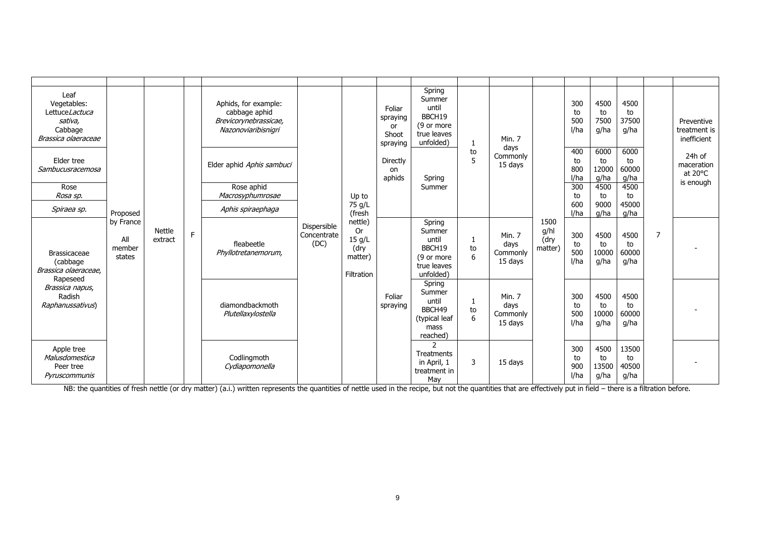| Leaf<br>Vegetables:<br>LettuceLactuca<br>sativa.<br>Cabbage<br>Brassica olaeraceae                                   |                                      |                          |    | Aphids, for example:<br>cabbage aphid<br>Brevicorynebrassicae,<br>Nazonoviaribisnigri |                                    |                                                                 | Foliar<br>spraying<br>or<br>Shoot<br>spraying | Spring<br>Summer<br>until<br>BBCH19<br>(9 or more<br>true leaves<br>unfolded) |         | Min. 7                                |                                 | 300<br>to<br>500<br>I/ha | 4500<br>to<br>7500<br>g/ha  | 4500<br>to<br>37500<br>g/ha  | to | Preventive<br>treatment is<br>inefficient    |
|----------------------------------------------------------------------------------------------------------------------|--------------------------------------|--------------------------|----|---------------------------------------------------------------------------------------|------------------------------------|-----------------------------------------------------------------|-----------------------------------------------|-------------------------------------------------------------------------------|---------|---------------------------------------|---------------------------------|--------------------------|-----------------------------|------------------------------|----|----------------------------------------------|
| Elder tree<br>Sambucusracemosa                                                                                       |                                      |                          |    | Elder aphid Aphis sambuci                                                             |                                    |                                                                 | Directly<br>on<br>aphids                      | to<br>5<br>Spring<br>Summer                                                   |         | days<br>Commonly<br>15 days           |                                 | 400<br>to<br>800<br>I/ha | 6000<br>to<br>12000<br>g/ha | 6000<br>60000<br>g/ha        |    | 24h of<br>maceration<br>at 20°C<br>is enough |
| Rose<br>Rosa sp.                                                                                                     |                                      |                          |    | Rose aphid<br>Macrosyphumrosae                                                        |                                    | Up to                                                           |                                               |                                                                               |         |                                       |                                 | 300<br>to                | 4500<br>to                  | 4500<br>to                   |    |                                              |
| Spiraea sp.                                                                                                          | Proposed                             |                          |    | Aphis spiraephaga                                                                     |                                    | 75 g/L<br>(fresh                                                |                                               |                                                                               |         |                                       |                                 | 600<br>l/ha              | 9000<br>g/ha                | 45000<br>g/ha                |    |                                              |
| <b>Brassicaceae</b><br>(cabbage<br>Brassica olaeraceae.<br>Rapeseed<br>Brassica napus,<br>Radish<br>Raphanussativus) | by France<br>All<br>member<br>states | <b>Nettle</b><br>extract | F. | fleabeetle<br>Phyllotretanemorum,<br>diamondbackmoth<br>Plutellaxylostella            | Dispersible<br>Concentrate<br>(DC) | nettle)<br><b>Or</b><br>15 g/L<br>(dry<br>matter)<br>Filtration |                                               | Spring<br>Summer<br>until<br>BBCH19<br>(9 or more<br>true leaves<br>unfolded) | to<br>6 | Min. 7<br>days<br>Commonly<br>15 days | 1500<br>g/hl<br>(dry<br>matter) | 300<br>to<br>500<br>I/ha | 4500<br>to<br>10000<br>g/ha | 4500<br>to<br>60000<br>g/ha  | 7  |                                              |
|                                                                                                                      |                                      |                          |    |                                                                                       |                                    |                                                                 | Foliar<br>spraying                            | Spring<br>Summer<br>until<br>BBCH49<br>(typical leaf<br>mass<br>reached)      | to<br>6 | Min. 7<br>days<br>Commonly<br>15 days |                                 | 300<br>to<br>500<br>I/ha | 4500<br>to<br>10000<br>g/ha | 4500<br>to<br>60000<br>g/ha  |    |                                              |
| Apple tree<br>Malusdomestica<br>Peer tree<br>Pyruscommunis                                                           |                                      |                          |    | Codlingmoth<br>Cydiapomonella                                                         |                                    |                                                                 |                                               | 2<br>Treatments<br>in April, 1<br>treatment in<br>May                         | 3       | 15 days                               |                                 | 300<br>to<br>900<br>I/ha | 4500<br>to<br>13500<br>g/ha | 13500<br>to<br>40500<br>g/ha |    |                                              |

NB: the quantities of fresh nettle (or dry matter) (a.i.) written represents the quantities of nettle used in the recipe, but not the quantities that are effectively put in field – there is a filtration before.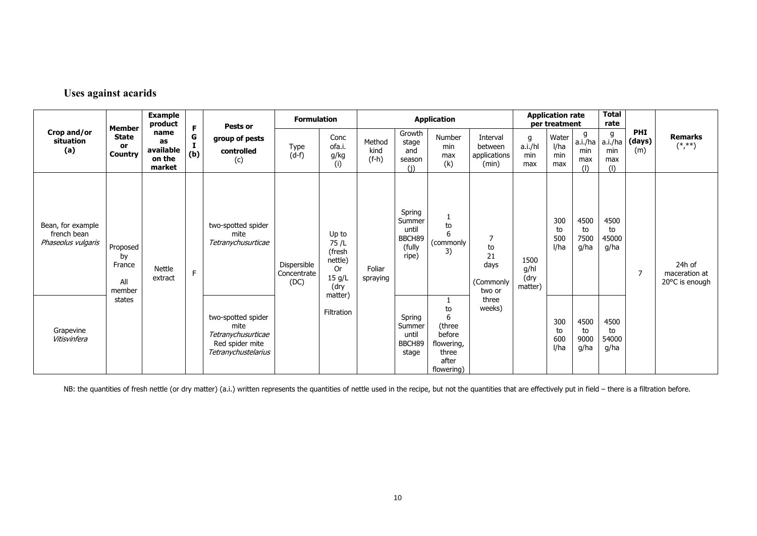### **Uses against acarids**

|                                                        | Member                                      | <b>Example</b><br>product                   | F        | Pests or                                                                                   | <b>Formulation</b>                 |                                                             |                           |                                                        | <b>Application</b>                                                        |                                              | <b>Application rate</b><br>per treatment |                             |                                   | <b>Total</b><br>rate              |                             |                                           |
|--------------------------------------------------------|---------------------------------------------|---------------------------------------------|----------|--------------------------------------------------------------------------------------------|------------------------------------|-------------------------------------------------------------|---------------------------|--------------------------------------------------------|---------------------------------------------------------------------------|----------------------------------------------|------------------------------------------|-----------------------------|-----------------------------------|-----------------------------------|-----------------------------|-------------------------------------------|
| Crop and/or<br>situation<br>(a)                        | <b>State</b><br><b>or</b><br><b>Country</b> | name<br>as<br>available<br>on the<br>market | G<br>(b) | group of pests<br>controlled<br>(c)                                                        | Type<br>$(d-f)$                    | Conc<br>ofa.i.<br>g/kg<br>(i)                               | Method<br>kind<br>$(f-h)$ | Growth<br>stage<br>and<br>season<br>(i)                | Number<br>min<br>max<br>(k)                                               | Interval<br>between<br>applications<br>(min) | g<br>a.i./hl<br>min<br>max               | Water<br>l/ha<br>min<br>max | g<br>a.i./ha<br>min<br>max<br>(1) | g<br>a.i./ha<br>min<br>max<br>(1) | <b>PHI</b><br>(days)<br>(m) | <b>Remarks</b><br>$(*, **)$               |
| Bean, for example<br>french bean<br>Phaseolus vulgaris | Proposed<br>by<br>France<br>All<br>member   | Nettle<br>extract                           | F        | two-spotted spider<br>mite<br>Tetranychusurticae                                           | Dispersible<br>Concentrate<br>(DC) | Up to<br>75 /L<br>(fresh<br>nettle)<br>0r<br>15 g/L<br>(dry | Foliar<br>spraying        | Spring<br>Summer<br>until<br>BBCH89<br>(fully<br>ripe) | to<br>6<br>(commonly<br>3)                                                | 7<br>to<br>21<br>days<br>(Commonly<br>two or | 1500<br>g/hl<br>(dry<br>matter)          | 300<br>to<br>500<br>I/ha    | 4500<br>to<br>7500<br>g/ha        | 4500<br>to<br>45000<br>g/ha       | 7                           | 24h of<br>maceration at<br>20°C is enough |
| Grapevine<br>Vitisvinfera                              | states                                      |                                             |          | two-spotted spider<br>mite<br>Tetranychusurticae<br>Red spider mite<br>Tetranychustelarius |                                    | matter)<br>Filtration                                       |                           | Spring<br>Summer<br>until<br>BBCH89<br>stage           | to<br>6<br>(three<br>before<br>flowering,<br>three<br>after<br>flowering) | three<br>weeks)                              |                                          | 300<br>to<br>600<br>l/ha    | 4500<br>to<br>9000<br>g/ha        | 4500<br>to<br>54000<br>g/ha       |                             |                                           |

NB: the quantities of fresh nettle (or dry matter) (a.i.) written represents the quantities of nettle used in the recipe, but not the quantities that are effectively put in field – there is a filtration before.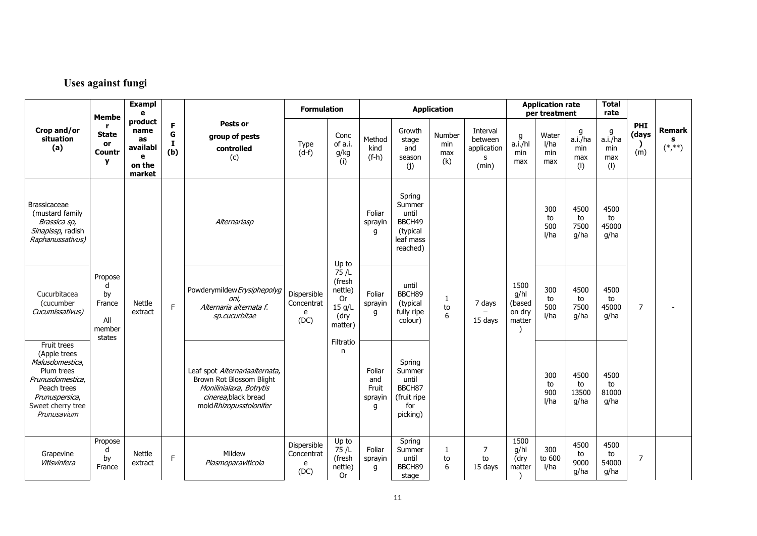# **Uses against fungi**

|                                                                                                                                                       | <b>Membe</b>                                  | <b>Exampl</b><br>e                              | product                   |                                                                                                                                          | <b>Formulation</b>                     |                                                              | <b>Application</b>                     |                                                                          |                             |                                                  |                                            | <b>Application rate</b><br>per treatment |                                   | <b>Total</b><br>rate                                     |                                   |  |
|-------------------------------------------------------------------------------------------------------------------------------------------------------|-----------------------------------------------|-------------------------------------------------|---------------------------|------------------------------------------------------------------------------------------------------------------------------------------|----------------------------------------|--------------------------------------------------------------|----------------------------------------|--------------------------------------------------------------------------|-----------------------------|--------------------------------------------------|--------------------------------------------|------------------------------------------|-----------------------------------|----------------------------------------------------------|-----------------------------------|--|
| Crop and/or<br>situation<br>(a)                                                                                                                       | r<br><b>State</b><br>or<br>Countr<br>y        | name<br>as<br>availabl<br>e<br>on the<br>market | F<br>G<br><b>I</b><br>(b) | Pests or<br>group of pests<br>controlled<br>(c)                                                                                          | Type<br>$(d-f)$                        | Conc<br>of a.i.<br>g/kg<br>(i)                               | Method<br>kind<br>$(f-h)$              | Growth<br>stage<br>and<br>season<br>(j)                                  | Number<br>min<br>max<br>(k) | Interval<br>between<br>application<br>s<br>(min) | g<br>a.i./hl<br>min<br>max                 | Water<br>l/ha<br>min<br>max              | g<br>a.i./ha<br>min<br>max<br>(1) | PHI<br>g<br>(days<br>a.i./ha<br>min<br>(m)<br>max<br>(1) | Remark<br>s<br>$(\ast, \ast\ast)$ |  |
| <b>Brassicaceae</b><br>(mustard family<br>Brassica sp,<br>Sinapissp, radish<br>Raphanussativus)                                                       |                                               |                                                 |                           | Alternariasp                                                                                                                             |                                        | Up to                                                        | Foliar<br>sprayin<br>q                 | Spring<br>Summer<br>until<br>BBCH49<br>(typical<br>leaf mass<br>reached) |                             |                                                  |                                            | 300<br>to<br>500<br>I/ha                 | 4500<br>to<br>7500<br>g/ha        | 4500<br>to<br>45000<br>g/ha                              |                                   |  |
| Cucurbitacea<br>(cucumber<br>Cucumissativus)                                                                                                          | Propose<br>d<br>by<br>France<br>All<br>member | Nettle<br>extract                               | F                         | Powderymildew Erysiphepolyg<br>oni.<br>Alternaria alternata f.<br>sp.cucurbitae                                                          | Dispersible<br>Concentrat<br>e<br>(DC) | 75/L<br>(fresh<br>nettle)<br>0r<br>15 g/L<br>(dry<br>matter) | Foliar<br>sprayin<br>q                 | until<br>BBCH89<br>(typical<br>fully ripe<br>colour)                     | $\mathbf{1}$<br>to<br>6     | 7 days<br>15 days                                | 1500<br>g/hl<br>(based<br>on dry<br>matter | 300<br>to<br>500<br>I/ha                 | 4500<br>to<br>7500<br>g/ha        | 4500<br>to<br>45000<br>g/ha                              | $\overline{7}$                    |  |
| Fruit trees<br>(Apple trees<br>Malusdomestica,<br>Plum trees<br>Prunusdomestica,<br>Peach trees<br>Prunuspersica,<br>Sweet cherry tree<br>Prunusavium | states                                        |                                                 |                           | Leaf spot Alternariaalternata,<br>Brown Rot Blossom Blight<br>Monilinialaxa, Botrytis<br>cinerea, black bread<br>mold Rhizopusstolonifer |                                        | Filtratio<br>n                                               | Foliar<br>and<br>Fruit<br>sprayin<br>q | Spring<br>Summer<br>until<br>BBCH87<br>(fruit ripe<br>for<br>picking)    |                             |                                                  |                                            | 300<br>to<br>900<br>I/ha                 | 4500<br>to<br>13500<br>g/ha       | 4500<br>to<br>81000<br>g/ha                              |                                   |  |
| Grapevine<br>Vitisvinfera                                                                                                                             | Propose<br>d<br>by<br>France                  | Nettle<br>extract                               | E                         | Mildew<br>Plasmoparaviticola                                                                                                             | Dispersible<br>Concentrat<br>e<br>(DC) | Up to<br>75/L<br>(fresh<br>nettle)<br><b>Or</b>              | Foliar<br>sprayin<br>q                 | Spring<br>Summer<br>until<br>BBCH89<br>stage                             | 1<br>to<br>6                | $\overline{7}$<br>to<br>15 days                  | 1500<br>g/hl<br>(dry<br>matter             | 300<br>to 600<br>l/ha                    | 4500<br>to<br>9000<br>g/ha        | 4500<br>to<br>54000<br>g/ha                              | $\overline{7}$                    |  |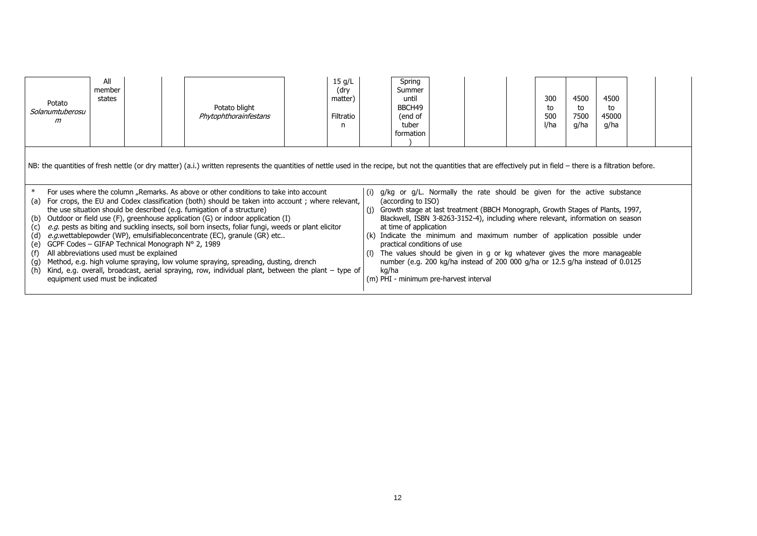| Potato<br>Solanumtuberosu<br>m                                                                                                                                                            | All<br>member<br>states |  | Potato blight<br>Phytophthorainfestans                                                                                                                                                                                                                                                                                                                                                                                                                                                                                                                                                                                                                                                                                                                                                                                                                                                                                                                   | 15 g/L<br>(dry<br>matter)<br>Filtratio<br>n |                     | Spring<br>Summer<br>until<br>BBCH49<br>(end of<br>tuber<br>formation                                                  |                                                                                                                                                                                                                                                                                                                                                                                                                                                                                                   | 300<br>to<br>500<br>I/ha | 4500<br>to<br>7500<br>g/ha | 4500<br>to<br>45000<br>g/ha |  |
|-------------------------------------------------------------------------------------------------------------------------------------------------------------------------------------------|-------------------------|--|----------------------------------------------------------------------------------------------------------------------------------------------------------------------------------------------------------------------------------------------------------------------------------------------------------------------------------------------------------------------------------------------------------------------------------------------------------------------------------------------------------------------------------------------------------------------------------------------------------------------------------------------------------------------------------------------------------------------------------------------------------------------------------------------------------------------------------------------------------------------------------------------------------------------------------------------------------|---------------------------------------------|---------------------|-----------------------------------------------------------------------------------------------------------------------|---------------------------------------------------------------------------------------------------------------------------------------------------------------------------------------------------------------------------------------------------------------------------------------------------------------------------------------------------------------------------------------------------------------------------------------------------------------------------------------------------|--------------------------|----------------------------|-----------------------------|--|
| (a)<br>(b)<br>(c)<br>(d)<br>GCPF Codes – GIFAP Technical Monograph N° 2, 1989<br>(e)<br>All abbreviations used must be explained<br>(f)<br>(g)<br>(h)<br>equipment used must be indicated |                         |  | NB: the quantities of fresh nettle (or dry matter) (a.i.) written represents the quantities of nettle used in the recipe, but not the quantities that are effectively put in field – there is a filtration before.<br>For uses where the column "Remarks. As above or other conditions to take into account<br>For crops, the EU and Codex classification (both) should be taken into account; where relevant,<br>the use situation should be described (e.g. fumigation of a structure)<br>Outdoor or field use (F), greenhouse application (G) or indoor application (I)<br>e.g. pests as biting and suckling insects, soil born insects, foliar fungi, weeds or plant elicitor<br>e.g.wettablepowder (WP), emulsifiableconcentrate (EC), granule (GR) etc<br>Method, e.g. high volume spraying, low volume spraying, spreading, dusting, drench<br>Kind, e.g. overall, broadcast, aerial spraying, row, individual plant, between the plant - type of |                                             | (i)<br>(1)<br>kg/ha | (according to ISO)<br>at time of application<br>practical conditions of use<br>(m) PHI - minimum pre-harvest interval | $\int$ (i) g/kg or g/L. Normally the rate should be given for the active substance<br>Growth stage at last treatment (BBCH Monograph, Growth Stages of Plants, 1997,<br>Blackwell, ISBN 3-8263-3152-4), including where relevant, information on season<br>(k) Indicate the minimum and maximum number of application possible under<br>The values should be given in g or kg whatever gives the more manageable<br>number (e.g. 200 kg/ha instead of 200 000 g/ha or 12.5 g/ha instead of 0.0125 |                          |                            |                             |  |